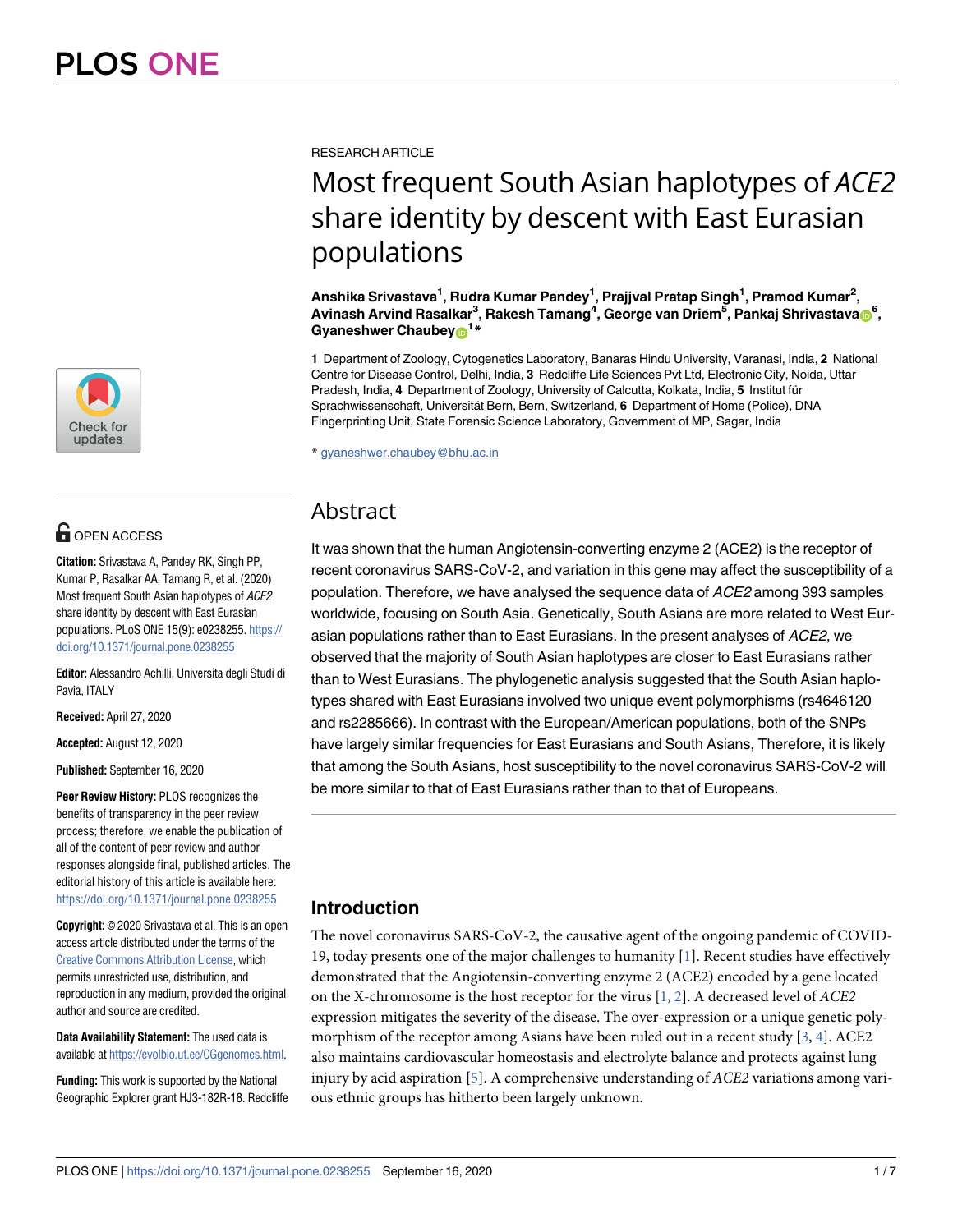

## **G** OPEN ACCESS

**Citation:** Srivastava A, Pandey RK, Singh PP, Kumar P, Rasalkar AA, Tamang R, et al. (2020) Most frequent South Asian haplotypes of ACE2 share identity by descent with East Eurasian populations. PLoS ONE 15(9): e0238255. [https://](https://doi.org/10.1371/journal.pone.0238255) [doi.org/10.1371/journal.pone.0238255](https://doi.org/10.1371/journal.pone.0238255)

**Editor:** Alessandro Achilli, Universita degli Studi di Pavia, ITALY

**Received:** April 27, 2020

**Accepted:** August 12, 2020

**Published:** September 16, 2020

**Peer Review History:** PLOS recognizes the benefits of transparency in the peer review process; therefore, we enable the publication of all of the content of peer review and author responses alongside final, published articles. The editorial history of this article is available here: <https://doi.org/10.1371/journal.pone.0238255>

**Copyright:** © 2020 Srivastava et al. This is an open access article distributed under the terms of the [Creative Commons Attribution License,](http://creativecommons.org/licenses/by/4.0/) which permits unrestricted use, distribution, and reproduction in any medium, provided the original author and source are credited.

**Data Availability Statement:** The used data is available at <https://evolbio.ut.ee/CGgenomes.html>.

**Funding:** This work is supported by the National Geographic Explorer grant HJ3-182R-18. Redcliffe <span id="page-0-0"></span>RESEARCH ARTICLE

# Most frequent South Asian haplotypes of *ACE2* share identity by descent with East Eurasian populations

**Anshika Srivastava<sup>1</sup> , Rudra Kumar Pandey<sup>1</sup> , Prajjval Pratap Singh<sup>1</sup> , Pramod Kumar<sup>2</sup> ,**  $\Lambda$ vinash Arvind Rasalkar $^3$ , Rakesh Tamang $^4$ , George van Driem $^5$ , Pankaj Shrivastava $_{\textcircled{10}^{6}},$ **Gyaneshwer Chaubey[ID](http://orcid.org/0000-0003-2899-3852)<sup>1</sup> \***

**1** Department of Zoology, Cytogenetics Laboratory, Banaras Hindu University, Varanasi, India, **2** National Centre for Disease Control, Delhi, India, **3** Redcliffe Life Sciences Pvt Ltd, Electronic City, Noida, Uttar Pradesh, India, **4** Department of Zoology, University of Calcutta, Kolkata, India, **5** Institut fu¨r Sprachwissenschaft, Universität Bern, Bern, Switzerland, 6 Department of Home (Police), DNA Fingerprinting Unit, State Forensic Science Laboratory, Government of MP, Sagar, India

\* gyaneshwer.chaubey@bhu.ac.in

## Abstract

It was shown that the human Angiotensin-converting enzyme 2 (ACE2) is the receptor of recent coronavirus SARS-CoV-2, and variation in this gene may affect the susceptibility of a population. Therefore, we have analysed the sequence data of ACE2 among 393 samples worldwide, focusing on South Asia. Genetically, South Asians are more related to West Eurasian populations rather than to East Eurasians. In the present analyses of ACE2, we observed that the majority of South Asian haplotypes are closer to East Eurasians rather than to West Eurasians. The phylogenetic analysis suggested that the South Asian haplotypes shared with East Eurasians involved two unique event polymorphisms (rs4646120 and rs2285666). In contrast with the European/American populations, both of the SNPs have largely similar frequencies for East Eurasians and South Asians, Therefore, it is likely that among the South Asians, host susceptibility to the novel coronavirus SARS-CoV-2 will be more similar to that of East Eurasians rather than to that of Europeans.

### **Introduction**

The novel coronavirus SARS-CoV-2, the causative agent of the ongoing pandemic of COVID-19, today presents one of the major challenges to humanity [\[1](#page-5-0)]. Recent studies have effectively demonstrated that the Angiotensin-converting enzyme 2 (ACE2) encoded by a gene located on the X-chromosome is the host receptor for the virus  $[1, 2]$  $[1, 2]$  $[1, 2]$  $[1, 2]$ . A decreased level of ACE2 expression mitigates the severity of the disease. The over-expression or a unique genetic polymorphism of the receptor among Asians have been ruled out in a recent study  $[3, 4]$  $[3, 4]$  $[3, 4]$ . ACE2 also maintains cardiovascular homeostasis and electrolyte balance and protects against lung injury by acid aspiration  $[5]$  $[5]$  $[5]$ . A comprehensive understanding of *ACE2* variations among various ethnic groups has hitherto been largely unknown.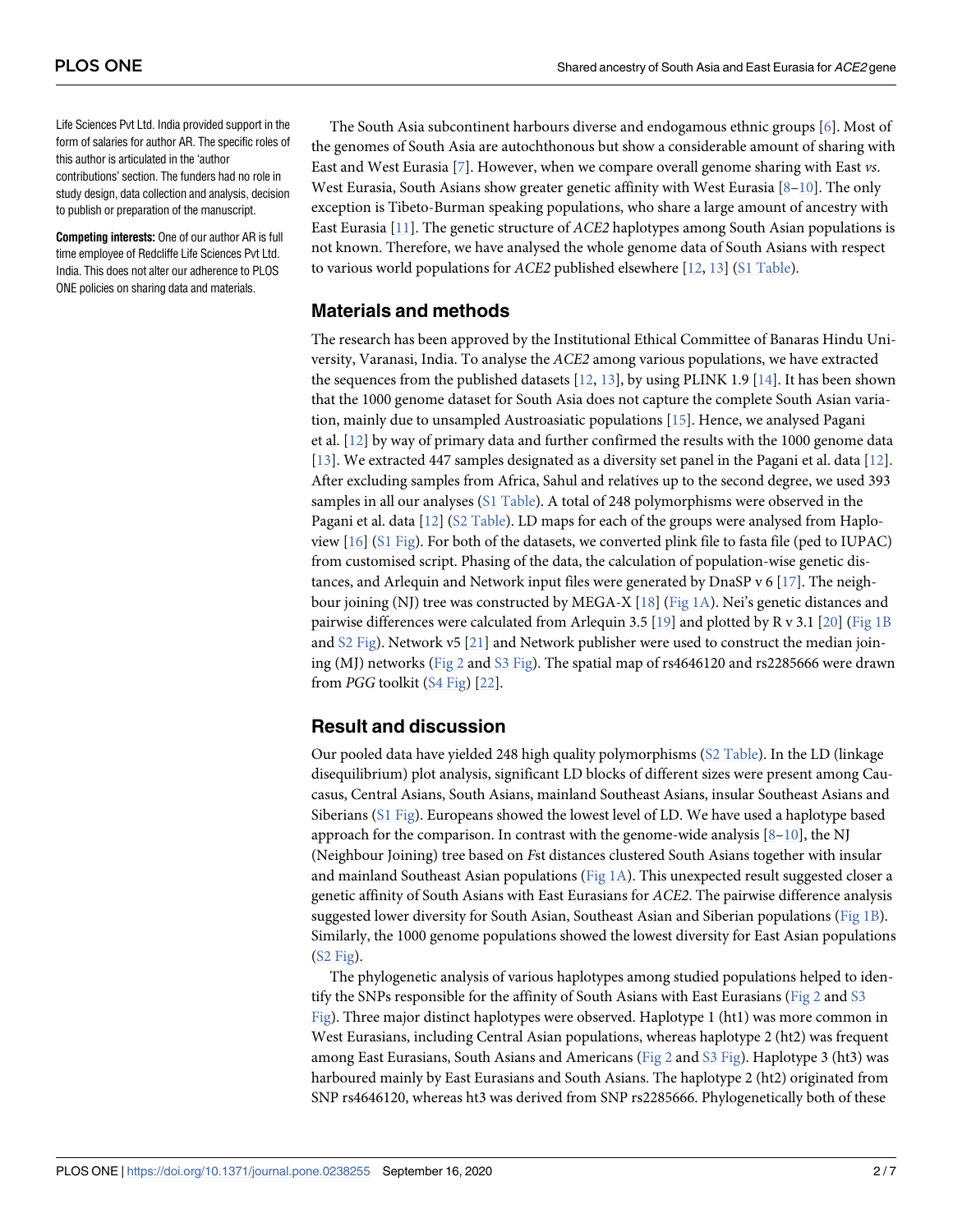<span id="page-1-0"></span>Life Sciences Pvt Ltd. India provided support in the form of salaries for author AR. The specific roles of this author is articulated in the 'author contributions' section. The funders had no role in study design, data collection and analysis, decision to publish or preparation of the manuscript.

**Competing interests:** One of our author AR is full time employee of Redcliffe Life Sciences Pvt Ltd. India. This does not alter our adherence to PLOS ONE policies on sharing data and materials.

The South Asia subcontinent harbours diverse and endogamous ethnic groups [[6](#page-5-0)]. Most of the genomes of South Asia are autochthonous but show a considerable amount of sharing with East and West Eurasia [\[7\]](#page-5-0). However, when we compare overall genome sharing with East vs. West Eurasia, South Asians show greater genetic affinity with West Eurasia  $[8-10]$ . The only exception is Tibeto-Burman speaking populations, who share a large amount of ancestry with East Eurasia [\[11\]](#page-5-0). The genetic structure of ACE2 haplotypes among South Asian populations is not known. Therefore, we have analysed the whole genome data of South Asians with respect to various world populations for ACE2 published elsewhere [[12](#page-5-0), [13](#page-5-0)] [\(S1 Table](#page-4-0)).

#### **Materials and methods**

The research has been approved by the Institutional Ethical Committee of Banaras Hindu University, Varanasi, India. To analyse the ACE2 among various populations, we have extracted the sequences from the published datasets  $[12, 13]$  $[12, 13]$  $[12, 13]$  $[12, 13]$  $[12, 13]$ , by using PLINK 1.9  $[14]$  $[14]$  $[14]$ . It has been shown that the 1000 genome dataset for South Asia does not capture the complete South Asian variation, mainly due to unsampled Austroasiatic populations [[15](#page-5-0)]. Hence, we analysed Pagani et al. [\[12\]](#page-5-0) by way of primary data and further confirmed the results with the 1000 genome data [\[13\]](#page-5-0). We extracted 447 samples designated as a diversity set panel in the Pagani et al. data [[12](#page-5-0)]. After excluding samples from Africa, Sahul and relatives up to the second degree, we used 393 samples in all our analyses [\(S1 Table](#page-4-0)). A total of 248 polymorphisms were observed in the Pagani et al. data [\[12\]](#page-5-0) [\(S2 Table\)](#page-4-0). LD maps for each of the groups were analysed from Haploview [[16](#page-5-0)] [\(S1 Fig\)](#page-4-0). For both of the datasets, we converted plink file to fasta file (ped to IUPAC) from customised script. Phasing of the data, the calculation of population-wise genetic distances, and Arlequin and Network input files were generated by DnaSP v 6  $[17]$ . The neigh-bour joining (NJ) tree was constructed by MEGA-X [[18](#page-5-0)] [\(Fig 1A](#page-2-0)). Nei's genetic distances and pairwise differences were calculated from Arlequin 3.5 [[19](#page-6-0)] and plotted by R v 3.1 [[20](#page-6-0)] [\(Fig 1B](#page-2-0) and  $S2$  Fig). Network v5 [[21](#page-6-0)] and Network publisher were used to construct the median joining (MJ) networks ([Fig 2](#page-3-0) and [S3 Fig](#page-4-0)). The spatial map of rs4646120 and rs2285666 were drawn from PGG toolkit [\(S4 Fig](#page-4-0)) [\[22\]](#page-6-0).

#### **Result and discussion**

Our pooled data have yielded 248 high quality polymorphisms [\(S2 Table](#page-4-0)). In the LD (linkage disequilibrium) plot analysis, significant LD blocks of different sizes were present among Caucasus, Central Asians, South Asians, mainland Southeast Asians, insular Southeast Asians and Siberians [\(S1 Fig](#page-4-0)). Europeans showed the lowest level of LD. We have used a haplotype based approach for the comparison. In contrast with the genome-wide analysis  $[8-10]$ , the NJ (Neighbour Joining) tree based on Fst distances clustered South Asians together with insular and mainland Southeast Asian populations (Fig  $1A$ ). This unexpected result suggested closer a genetic affinity of South Asians with East Eurasians for ACE2. The pairwise difference analysis suggested lower diversity for South Asian, Southeast Asian and Siberian populations ([Fig 1B](#page-2-0)). Similarly, the 1000 genome populations showed the lowest diversity for East Asian populations [\(S2 Fig\)](#page-4-0).

The phylogenetic analysis of various haplotypes among studied populations helped to identify the SNPs responsible for the affinity of South Asians with East Eurasians ([Fig 2](#page-3-0) and [S3](#page-4-0) [Fig\)](#page-4-0). Three major distinct haplotypes were observed. Haplotype 1 (ht1) was more common in West Eurasians, including Central Asian populations, whereas haplotype 2 (ht2) was frequent among East Eurasians, South Asians and Americans [\(Fig 2](#page-3-0) and [S3 Fig\)](#page-4-0). Haplotype 3 (ht3) was harboured mainly by East Eurasians and South Asians. The haplotype 2 (ht2) originated from SNP rs4646120, whereas ht3 was derived from SNP rs2285666. Phylogenetically both of these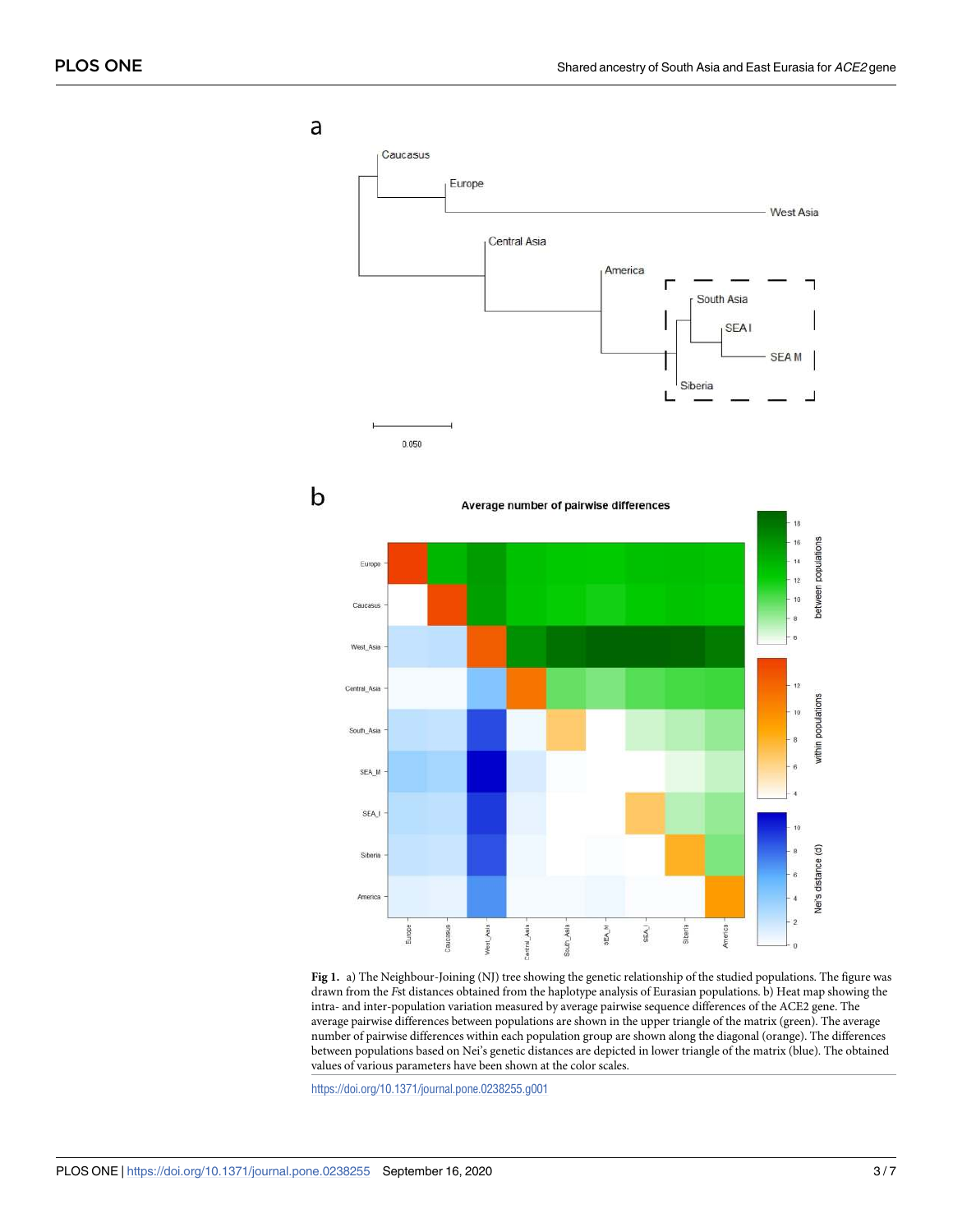<span id="page-2-0"></span>a Caucasus Europe West Asia Central Asia America г South Asia **SEA1 SEAM** Siberia E.  $0.050$ b Average number of pairwise differences populations 14 Europe 12 between 10 Caucasu West Asia  $12$ Central Asia populations 10 uth\_As within SEA\_M SEA<sub>J</sub> distance (d) Siberia America Nei's  $\overline{2}$ Asia SEA<sub>M</sub> Europe Vest Asia iouth Asis SEA. iberia

**[Fig 1.](#page-1-0)** a) The Neighbour-Joining (NJ) tree showing the genetic relationship of the studied populations. The figure was drawn from the Fst distances obtained from the haplotype analysis of Eurasian populations. b) Heat map showing the intra- and inter-population variation measured by average pairwise sequence differences of the ACE2 gene. The average pairwise differences between populations are shown in the upper triangle of the matrix (green). The average number of pairwise differences within each population group are shown along the diagonal (orange). The differences between populations based on Nei's genetic distances are depicted in lower triangle of the matrix (blue). The obtained values of various parameters have been shown at the color scales.

<https://doi.org/10.1371/journal.pone.0238255.g001>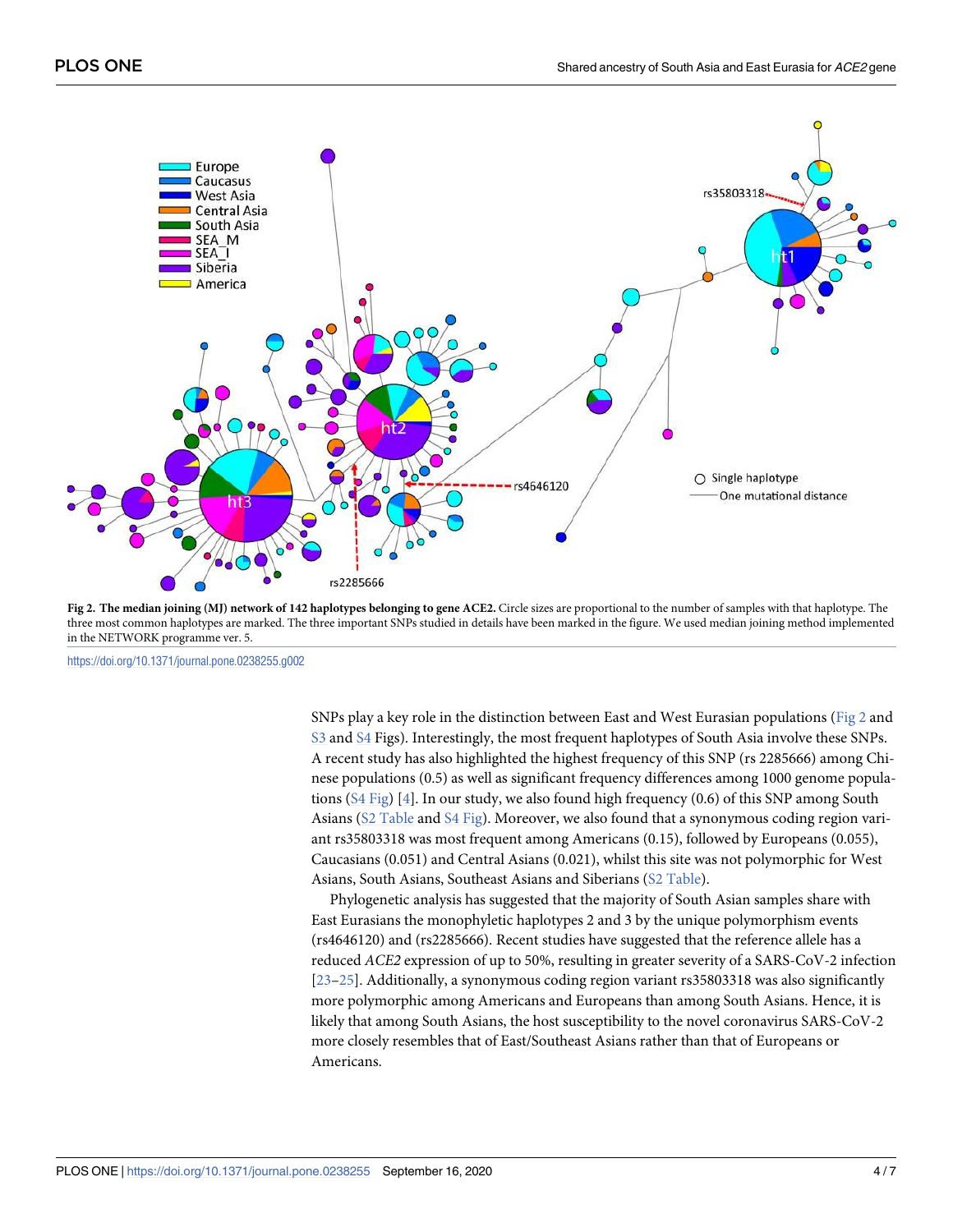<span id="page-3-0"></span>

**[Fig 2.](#page-1-0) The median joining (MJ) network of 142 haplotypes belonging to gene ACE2.** Circle sizes are proportional to the number of samples with that haplotype. The three most common haplotypes are marked. The three important SNPs studied in details have been marked in the figure. We used median joining method implemented in the NETWORK programme ver. 5.

<https://doi.org/10.1371/journal.pone.0238255.g002>

SNPs play a key role in the distinction between East and West Eurasian populations (Fig 2 and [S3](#page-4-0) and [S4](#page-4-0) Figs). Interestingly, the most frequent haplotypes of South Asia involve these SNPs. A recent study has also highlighted the highest frequency of this SNP (rs 2285666) among Chinese populations (0.5) as well as significant frequency differences among 1000 genome populations [\(S4 Fig\)](#page-4-0) [[4\]](#page-5-0). In our study, we also found high frequency (0.6) of this SNP among South Asians [\(S2 Table](#page-4-0) and [S4 Fig\)](#page-4-0). Moreover, we also found that a synonymous coding region variant rs35803318 was most frequent among Americans (0.15), followed by Europeans (0.055), Caucasians (0.051) and Central Asians (0.021), whilst this site was not polymorphic for West Asians, South Asians, Southeast Asians and Siberians ([S2 Table](#page-4-0)).

Phylogenetic analysis has suggested that the majority of South Asian samples share with East Eurasians the monophyletic haplotypes 2 and 3 by the unique polymorphism events (rs4646120) and (rs2285666). Recent studies have suggested that the reference allele has a reduced ACE2 expression of up to 50%, resulting in greater severity of a SARS-CoV-2 infection [\[23–25\]](#page-6-0). Additionally, a synonymous coding region variant rs35803318 was also significantly more polymorphic among Americans and Europeans than among South Asians. Hence, it is likely that among South Asians, the host susceptibility to the novel coronavirus SARS-CoV-2 more closely resembles that of East/Southeast Asians rather than that of Europeans or Americans.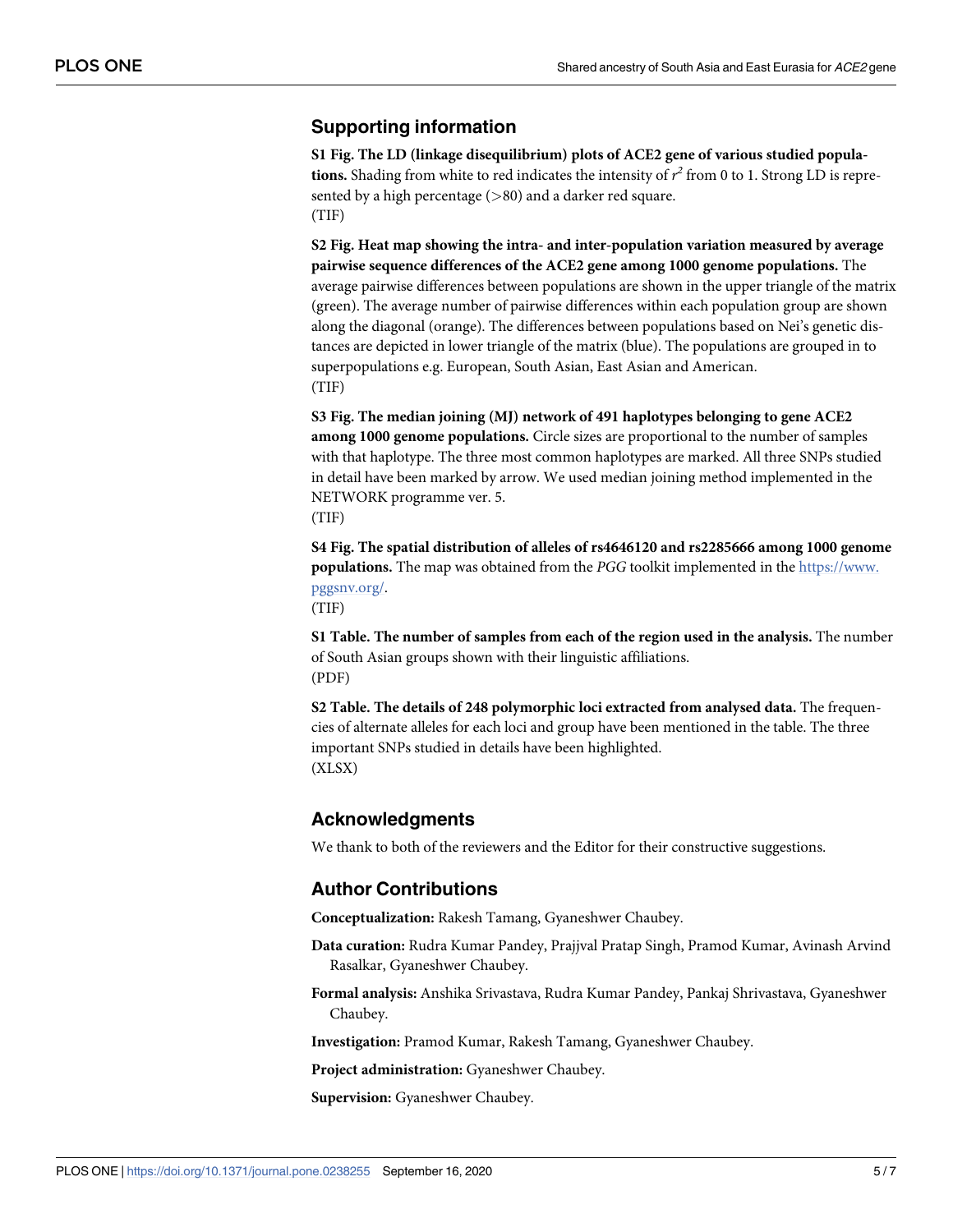#### <span id="page-4-0"></span>**Supporting information**

**[S1 Fig](http://www.plosone.org/article/fetchSingleRepresentation.action?uri=info:doi/10.1371/journal.pone.0238255.s001). The LD (linkage disequilibrium) plots of ACE2 gene of various studied popula**tions. Shading from white to red indicates the intensity of  $r^2$  from 0 to 1. Strong LD is represented by a high percentage (*>*80) and a darker red square. (TIF)

**[S2 Fig](http://www.plosone.org/article/fetchSingleRepresentation.action?uri=info:doi/10.1371/journal.pone.0238255.s002). Heat map showing the intra- and inter-population variation measured by average pairwise sequence differences of the ACE2 gene among 1000 genome populations.** The average pairwise differences between populations are shown in the upper triangle of the matrix (green). The average number of pairwise differences within each population group are shown along the diagonal (orange). The differences between populations based on Nei's genetic distances are depicted in lower triangle of the matrix (blue). The populations are grouped in to superpopulations e.g. European, South Asian, East Asian and American. (TIF)

**[S3 Fig](http://www.plosone.org/article/fetchSingleRepresentation.action?uri=info:doi/10.1371/journal.pone.0238255.s003). The median joining (MJ) network of 491 haplotypes belonging to gene ACE2 among 1000 genome populations.** Circle sizes are proportional to the number of samples with that haplotype. The three most common haplotypes are marked. All three SNPs studied in detail have been marked by arrow. We used median joining method implemented in the NETWORK programme ver. 5.



**[S4 Fig](http://www.plosone.org/article/fetchSingleRepresentation.action?uri=info:doi/10.1371/journal.pone.0238255.s004). The spatial distribution of alleles of rs4646120 and rs2285666 among 1000 genome populations.** The map was obtained from the PGG toolkit implemented in the [https://www.](https://www.pggsnv.org/) [pggsnv.org/](https://www.pggsnv.org/).

(TIF)

**[S1 Table.](http://www.plosone.org/article/fetchSingleRepresentation.action?uri=info:doi/10.1371/journal.pone.0238255.s005) The number of samples from each of the region used in the analysis.** The number of South Asian groups shown with their linguistic affiliations. (PDF)

**[S2 Table.](http://www.plosone.org/article/fetchSingleRepresentation.action?uri=info:doi/10.1371/journal.pone.0238255.s006) The details of 248 polymorphic loci extracted from analysed data.** The frequencies of alternate alleles for each loci and group have been mentioned in the table. The three important SNPs studied in details have been highlighted. (XLSX)

#### **Acknowledgments**

We thank to both of the reviewers and the Editor for their constructive suggestions.

#### **Author Contributions**

**Conceptualization:** Rakesh Tamang, Gyaneshwer Chaubey.

- **Data curation:** Rudra Kumar Pandey, Prajjval Pratap Singh, Pramod Kumar, Avinash Arvind Rasalkar, Gyaneshwer Chaubey.
- **Formal analysis:** Anshika Srivastava, Rudra Kumar Pandey, Pankaj Shrivastava, Gyaneshwer Chaubey.

**Investigation:** Pramod Kumar, Rakesh Tamang, Gyaneshwer Chaubey.

**Project administration:** Gyaneshwer Chaubey.

**Supervision:** Gyaneshwer Chaubey.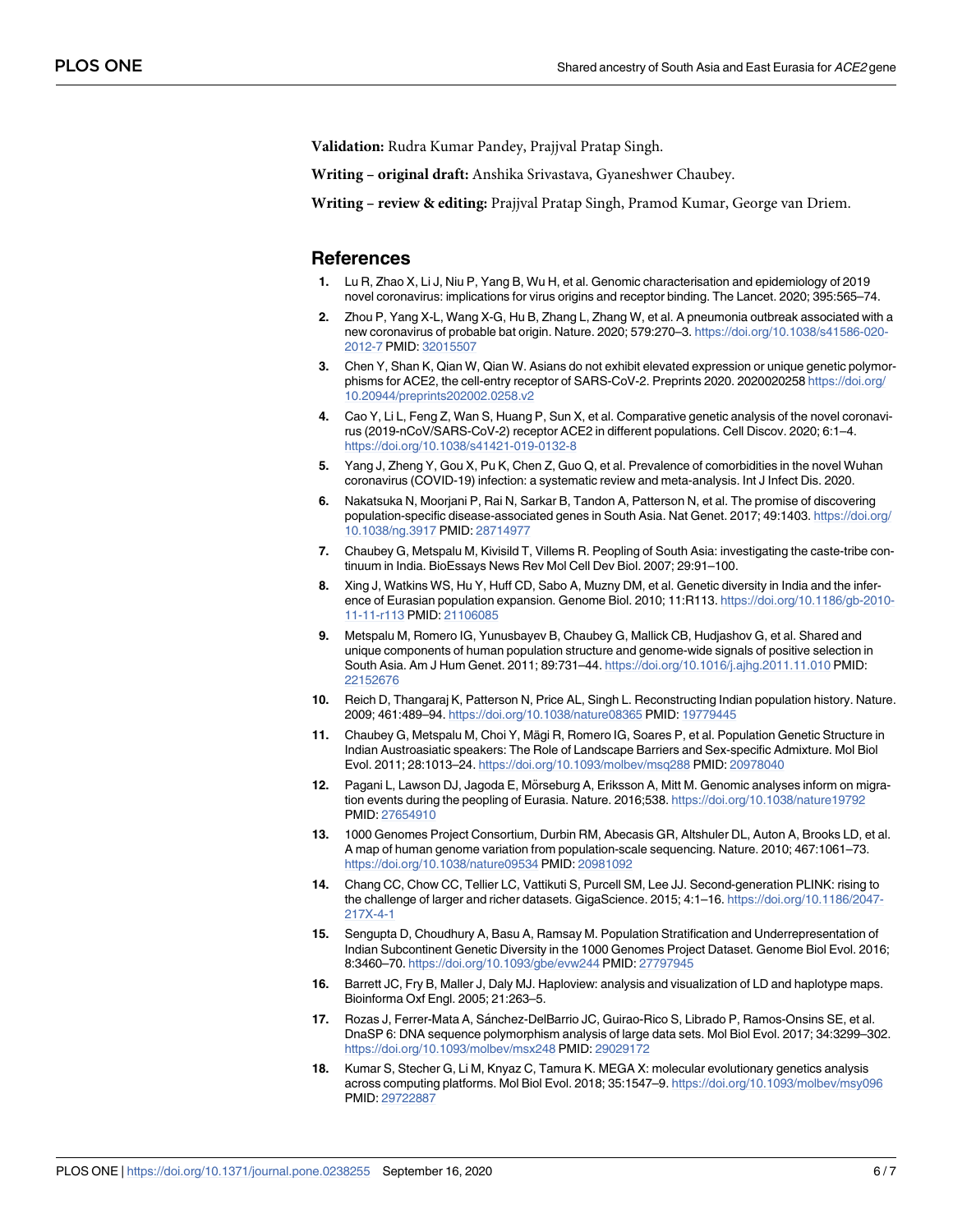<span id="page-5-0"></span>**Validation:** Rudra Kumar Pandey, Prajjval Pratap Singh.

**Writing – original draft:** Anshika Srivastava, Gyaneshwer Chaubey.

**Writing – review & editing:** Prajjval Pratap Singh, Pramod Kumar, George van Driem.

#### **References**

- **[1](#page-0-0).** Lu R, Zhao X, Li J, Niu P, Yang B, Wu H, et al. Genomic characterisation and epidemiology of 2019 novel coronavirus: implications for virus origins and receptor binding. The Lancet. 2020; 395:565–74.
- **[2](#page-0-0).** Zhou P, Yang X-L, Wang X-G, Hu B, Zhang L, Zhang W, et al. A pneumonia outbreak associated with a new coronavirus of probable bat origin. Nature. 2020; 579:270–3. [https://doi.org/10.1038/s41586-020-](https://doi.org/10.1038/s41586-020-2012-7) [2012-7](https://doi.org/10.1038/s41586-020-2012-7) PMID: [32015507](http://www.ncbi.nlm.nih.gov/pubmed/32015507)
- **[3](#page-0-0).** Chen Y, Shan K, Qian W, Qian W. Asians do not exhibit elevated expression or unique genetic polymorphisms for ACE2, the cell-entry receptor of SARS-CoV-2. Preprints 2020. 2020020258 [https://doi.org/](https://doi.org/10.20944/preprints202002.0258.v2) [10.20944/preprints202002.0258.v2](https://doi.org/10.20944/preprints202002.0258.v2)
- **[4](#page-0-0).** Cao Y, Li L, Feng Z, Wan S, Huang P, Sun X, et al. Comparative genetic analysis of the novel coronavirus (2019-nCoV/SARS-CoV-2) receptor ACE2 in different populations. Cell Discov. 2020; 6:1–4. <https://doi.org/10.1038/s41421-019-0132-8>
- **[5](#page-0-0).** Yang J, Zheng Y, Gou X, Pu K, Chen Z, Guo Q, et al. Prevalence of comorbidities in the novel Wuhan coronavirus (COVID-19) infection: a systematic review and meta-analysis. Int J Infect Dis. 2020.
- **[6](#page-1-0).** Nakatsuka N, Moorjani P, Rai N, Sarkar B, Tandon A, Patterson N, et al. The promise of discovering population-specific disease-associated genes in South Asia. Nat Genet. 2017; 49:1403. [https://doi.org/](https://doi.org/10.1038/ng.3917) [10.1038/ng.3917](https://doi.org/10.1038/ng.3917) PMID: [28714977](http://www.ncbi.nlm.nih.gov/pubmed/28714977)
- **[7](#page-1-0).** Chaubey G, Metspalu M, Kivisild T, Villems R. Peopling of South Asia: investigating the caste-tribe continuum in India. BioEssays News Rev Mol Cell Dev Biol. 2007; 29:91–100.
- **[8](#page-1-0).** Xing J, Watkins WS, Hu Y, Huff CD, Sabo A, Muzny DM, et al. Genetic diversity in India and the inference of Eurasian population expansion. Genome Biol. 2010; 11:R113. [https://doi.org/10.1186/gb-2010-](https://doi.org/10.1186/gb-2010-11-11-r113) [11-11-r113](https://doi.org/10.1186/gb-2010-11-11-r113) PMID: [21106085](http://www.ncbi.nlm.nih.gov/pubmed/21106085)
- **9.** Metspalu M, Romero IG, Yunusbayev B, Chaubey G, Mallick CB, Hudjashov G, et al. Shared and unique components of human population structure and genome-wide signals of positive selection in South Asia. Am J Hum Genet. 2011; 89:731–44. <https://doi.org/10.1016/j.ajhg.2011.11.010> PMID: [22152676](http://www.ncbi.nlm.nih.gov/pubmed/22152676)
- **[10](#page-1-0).** Reich D, Thangaraj K, Patterson N, Price AL, Singh L. Reconstructing Indian population history. Nature. 2009; 461:489–94. <https://doi.org/10.1038/nature08365> PMID: [19779445](http://www.ncbi.nlm.nih.gov/pubmed/19779445)
- **[11](#page-1-0).** Chaubey G, Metspalu M, Choi Y, Mägi R, Romero IG, Soares P, et al. Population Genetic Structure in Indian Austroasiatic speakers: The Role of Landscape Barriers and Sex-specific Admixture. Mol Biol Evol. 2011; 28:1013–24. <https://doi.org/10.1093/molbev/msq288> PMID: [20978040](http://www.ncbi.nlm.nih.gov/pubmed/20978040)
- [12](#page-1-0). Pagani L, Lawson DJ, Jagoda E, Mörseburg A, Eriksson A, Mitt M. Genomic analyses inform on migration events during the peopling of Eurasia. Nature. 2016;538. <https://doi.org/10.1038/nature19792> PMID: [27654910](http://www.ncbi.nlm.nih.gov/pubmed/27654910)
- **[13](#page-1-0).** 1000 Genomes Project Consortium, Durbin RM, Abecasis GR, Altshuler DL, Auton A, Brooks LD, et al. A map of human genome variation from population-scale sequencing. Nature. 2010; 467:1061–73. <https://doi.org/10.1038/nature09534> PMID: [20981092](http://www.ncbi.nlm.nih.gov/pubmed/20981092)
- **[14](#page-1-0).** Chang CC, Chow CC, Tellier LC, Vattikuti S, Purcell SM, Lee JJ. Second-generation PLINK: rising to the challenge of larger and richer datasets. GigaScience. 2015; 4:1–16. [https://doi.org/10.1186/2047-](https://doi.org/10.1186/2047-217X-4-1) [217X-4-1](https://doi.org/10.1186/2047-217X-4-1)
- **[15](#page-1-0).** Sengupta D, Choudhury A, Basu A, Ramsay M. Population Stratification and Underrepresentation of Indian Subcontinent Genetic Diversity in the 1000 Genomes Project Dataset. Genome Biol Evol. 2016; 8:3460–70. <https://doi.org/10.1093/gbe/evw244> PMID: [27797945](http://www.ncbi.nlm.nih.gov/pubmed/27797945)
- **[16](#page-1-0).** Barrett JC, Fry B, Maller J, Daly MJ. Haploview: analysis and visualization of LD and haplotype maps. Bioinforma Oxf Engl. 2005; 21:263–5.
- [17](#page-1-0). Rozas J, Ferrer-Mata A, Sánchez-DelBarrio JC, Guirao-Rico S, Librado P, Ramos-Onsins SE, et al. DnaSP 6: DNA sequence polymorphism analysis of large data sets. Mol Biol Evol. 2017; 34:3299–302. <https://doi.org/10.1093/molbev/msx248> PMID: [29029172](http://www.ncbi.nlm.nih.gov/pubmed/29029172)
- **[18](#page-1-0).** Kumar S, Stecher G, Li M, Knyaz C, Tamura K. MEGA X: molecular evolutionary genetics analysis across computing platforms. Mol Biol Evol. 2018; 35:1547–9. <https://doi.org/10.1093/molbev/msy096> PMID: [29722887](http://www.ncbi.nlm.nih.gov/pubmed/29722887)